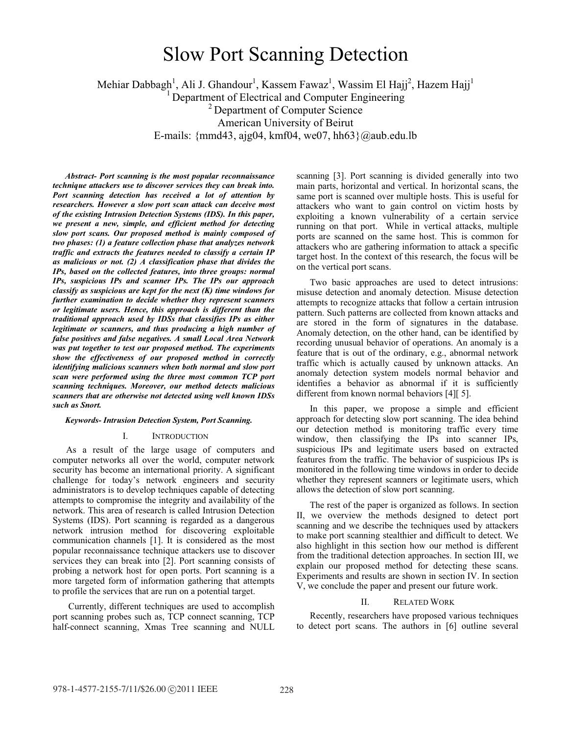# Slow Port Scanning Detection

Mehiar Dabbagh $^1$ , Ali J. Ghandour $^1$ , Kassem Fawaz $^1$ , Wassim El Hajj $^2$ , Hazem Hajj $^1$ 

<sup>1</sup> Department of Electrical and Computer Engineering

<sup>2</sup> Department of Computer Science

American University of Beirut

E-mails:  ${mmd43, aig04, kmf04, we07, hh63}$  *(a*<sub>au</sub>b.edu.lb

*Abstract- Port scanning is the most popular reconnaissance technique attackers use to discover services they can break into. Port scanning detection has received a lot of attention by researchers. However a slow port scan attack can deceive most of the existing Intrusion Detection Systems (IDS). In this paper, we present a new, simple, and efficient method for detecting slow port scans. Our proposed method is mainly composed of two phases: (1) a feature collection phase that analyzes network traffic and extracts the features needed to classify a certain IP as malicious or not. (2) A classification phase that divides the IPs, based on the collected features, into three groups: normal IPs, suspicious IPs and scanner IPs. The IPs our approach classify as suspicious are kept for the next (K) time windows for further examination to decide whether they represent scanners or legitimate users. Hence, this approach is different than the traditional approach used by IDSs that classifies IPs as either legitimate or scanners, and thus producing a high number of false positives and false negatives. A small Local Area Network was put together to test our proposed method. The experiments show the effectiveness of our proposed method in correctly identifying malicious scanners when both normal and slow port scan were performed using the three most common TCP port scanning techniques. Moreover, our method detects malicious scanners that are otherwise not detected using well known IDSs such as Snort.* 

### *Keywords- Intrusion Detection System, Port Scanning.*

### I. INTRODUCTION

As a result of the large usage of computers and computer networks all over the world, computer network security has become an international priority. A significant challenge for today's network engineers and security administrators is to develop techniques capable of detecting attempts to compromise the integrity and availability of the network. This area of research is called Intrusion Detection Systems (IDS). Port scanning is regarded as a dangerous network intrusion method for discovering exploitable communication channels [1]. It is considered as the most popular reconnaissance technique attackers use to discover services they can break into [2]. Port scanning consists of probing a network host for open ports. Port scanning is a more targeted form of information gathering that attempts to profile the services that are run on a potential target.

 Currently, different techniques are used to accomplish port scanning probes such as, TCP connect scanning, TCP half-connect scanning, Xmas Tree scanning and NULL scanning [3]. Port scanning is divided generally into two main parts, horizontal and vertical. In horizontal scans, the same port is scanned over multiple hosts. This is useful for attackers who want to gain control on victim hosts by exploiting a known vulnerability of a certain service running on that port. While in vertical attacks, multiple ports are scanned on the same host. This is common for attackers who are gathering information to attack a specific target host. In the context of this research, the focus will be on the vertical port scans.

Two basic approaches are used to detect intrusions: misuse detection and anomaly detection. Misuse detection attempts to recognize attacks that follow a certain intrusion pattern. Such patterns are collected from known attacks and are stored in the form of signatures in the database. Anomaly detection, on the other hand, can be identified by recording unusual behavior of operations. An anomaly is a feature that is out of the ordinary, e.g., abnormal network traffic which is actually caused by unknown attacks. An anomaly detection system models normal behavior and identifies a behavior as abnormal if it is sufficiently different from known normal behaviors [4][ 5].

In this paper, we propose a simple and efficient approach for detecting slow port scanning. The idea behind our detection method is monitoring traffic every time window, then classifying the IPs into scanner IPs, suspicious IPs and legitimate users based on extracted features from the traffic. The behavior of suspicious IPs is monitored in the following time windows in order to decide whether they represent scanners or legitimate users, which allows the detection of slow port scanning.

The rest of the paper is organized as follows. In section II, we overview the methods designed to detect port scanning and we describe the techniques used by attackers to make port scanning stealthier and difficult to detect. We also highlight in this section how our method is different from the traditional detection approaches. In section III, we explain our proposed method for detecting these scans. Experiments and results are shown in section IV. In section V, we conclude the paper and present our future work.

### II. RELATED WORK

Recently, researchers have proposed various techniques to detect port scans. The authors in [6] outline several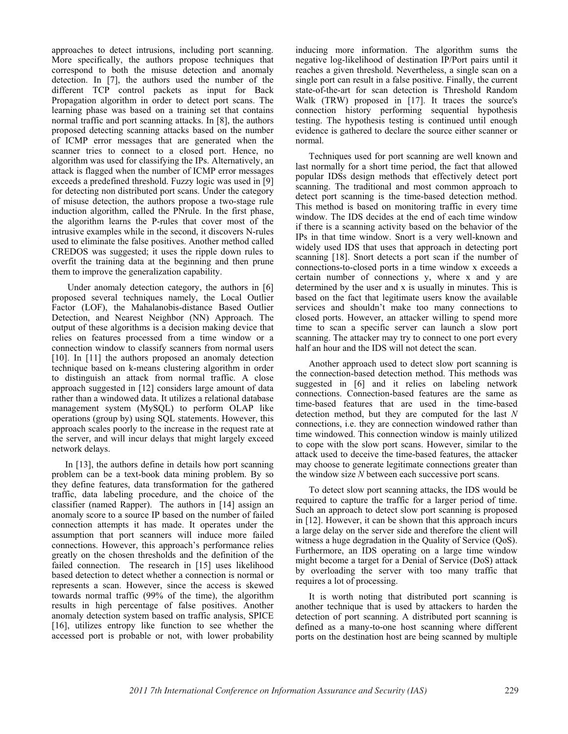approaches to detect intrusions, including port scanning. More specifically, the authors propose techniques that correspond to both the misuse detection and anomaly detection. In [7], the authors used the number of the different TCP control packets as input for Back Propagation algorithm in order to detect port scans. The learning phase was based on a training set that contains normal traffic and port scanning attacks. In [8], the authors proposed detecting scanning attacks based on the number of ICMP error messages that are generated when the scanner tries to connect to a closed port. Hence, no algorithm was used for classifying the IPs. Alternatively, an attack is flagged when the number of ICMP error messages exceeds a predefined threshold. Fuzzy logic was used in [9] for detecting non distributed port scans. Under the category of misuse detection, the authors propose a two-stage rule induction algorithm, called the PNrule. In the first phase, the algorithm learns the P-rules that cover most of the intrusive examples while in the second, it discovers N-rules used to eliminate the false positives. Another method called CREDOS was suggested; it uses the ripple down rules to overfit the training data at the beginning and then prune them to improve the generalization capability.

 Under anomaly detection category, the authors in [6] proposed several techniques namely, the Local Outlier Factor (LOF), the Mahalanobis-distance Based Outlier Detection, and Nearest Neighbor (NN) Approach. The output of these algorithms is a decision making device that relies on features processed from a time window or a connection window to classify scanners from normal users [10]. In [11] the authors proposed an anomaly detection technique based on k-means clustering algorithm in order to distinguish an attack from normal traffic. A close approach suggested in [12] considers large amount of data rather than a windowed data. It utilizes a relational database management system (MySQL) to perform OLAP like operations (group by) using SQL statements. However, this approach scales poorly to the increase in the request rate at the server, and will incur delays that might largely exceed network delays.

In [13], the authors define in details how port scanning problem can be a text-book data mining problem. By so they define features, data transformation for the gathered traffic, data labeling procedure, and the choice of the classifier (named Rapper). The authors in [14] assign an anomaly score to a source IP based on the number of failed connection attempts it has made. It operates under the assumption that port scanners will induce more failed connections. However, this approach's performance relies greatly on the chosen thresholds and the definition of the failed connection. The research in [15] uses likelihood based detection to detect whether a connection is normal or represents a scan. However, since the access is skewed towards normal traffic (99% of the time), the algorithm results in high percentage of false positives. Another anomaly detection system based on traffic analysis, SPICE [16], utilizes entropy like function to see whether the accessed port is probable or not, with lower probability inducing more information. The algorithm sums the negative log-likelihood of destination IP/Port pairs until it reaches a given threshold. Nevertheless, a single scan on a single port can result in a false positive. Finally, the current state-of-the-art for scan detection is Threshold Random Walk (TRW) proposed in [17]. It traces the source's connection history performing sequential hypothesis testing. The hypothesis testing is continued until enough evidence is gathered to declare the source either scanner or normal.

Techniques used for port scanning are well known and last normally for a short time period, the fact that allowed popular IDSs design methods that effectively detect port scanning. The traditional and most common approach to detect port scanning is the time-based detection method. This method is based on monitoring traffic in every time window. The IDS decides at the end of each time window if there is a scanning activity based on the behavior of the IPs in that time window. Snort is a very well-known and widely used IDS that uses that approach in detecting port scanning [18]. Snort detects a port scan if the number of connections-to-closed ports in a time window x exceeds a certain number of connections y, where x and y are determined by the user and x is usually in minutes. This is based on the fact that legitimate users know the available services and shouldn't make too many connections to closed ports. However, an attacker willing to spend more time to scan a specific server can launch a slow port scanning. The attacker may try to connect to one port every half an hour and the IDS will not detect the scan.

Another approach used to detect slow port scanning is the connection-based detection method. This methods was suggested in [6] and it relies on labeling network connections. Connection-based features are the same as time-based features that are used in the time-based detection method, but they are computed for the last *N* connections, i.e. they are connection windowed rather than time windowed. This connection window is mainly utilized to cope with the slow port scans. However, similar to the attack used to deceive the time-based features, the attacker may choose to generate legitimate connections greater than the window size *N* between each successive port scans.

To detect slow port scanning attacks, the IDS would be required to capture the traffic for a larger period of time. Such an approach to detect slow port scanning is proposed in [12]. However, it can be shown that this approach incurs a large delay on the server side and therefore the client will witness a huge degradation in the Quality of Service (QoS). Furthermore, an IDS operating on a large time window might become a target for a Denial of Service (DoS) attack by overloading the server with too many traffic that requires a lot of processing.

It is worth noting that distributed port scanning is another technique that is used by attackers to harden the detection of port scanning. A distributed port scanning is defined as a many-to-one host scanning where different ports on the destination host are being scanned by multiple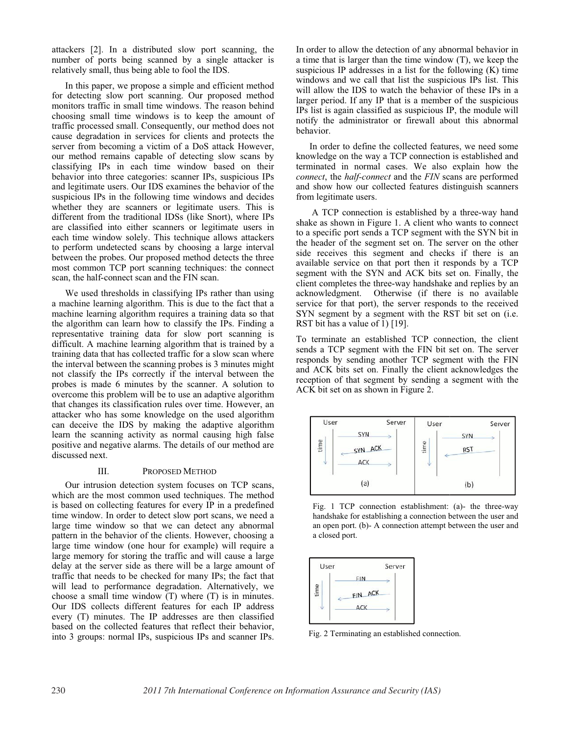attackers [2]. In a distributed slow port scanning, the number of ports being scanned by a single attacker is relatively small, thus being able to fool the IDS.

In this paper, we propose a simple and efficient method for detecting slow port scanning. Our proposed method monitors traffic in small time windows. The reason behind choosing small time windows is to keep the amount of traffic processed small. Consequently, our method does not cause degradation in services for clients and protects the server from becoming a victim of a DoS attack However, our method remains capable of detecting slow scans by classifying IPs in each time window based on their behavior into three categories: scanner IPs, suspicious IPs and legitimate users. Our IDS examines the behavior of the suspicious IPs in the following time windows and decides whether they are scanners or legitimate users. This is different from the traditional IDSs (like Snort), where IPs are classified into either scanners or legitimate users in each time window solely. This technique allows attackers to perform undetected scans by choosing a large interval between the probes. Our proposed method detects the three most common TCP port scanning techniques: the connect scan, the half-connect scan and the FIN scan.

We used thresholds in classifying IPs rather than using a machine learning algorithm. This is due to the fact that a machine learning algorithm requires a training data so that the algorithm can learn how to classify the IPs. Finding a representative training data for slow port scanning is difficult. A machine learning algorithm that is trained by a training data that has collected traffic for a slow scan where the interval between the scanning probes is 3 minutes might not classify the IPs correctly if the interval between the probes is made 6 minutes by the scanner. A solution to overcome this problem will be to use an adaptive algorithm that changes its classification rules over time. However, an attacker who has some knowledge on the used algorithm can deceive the IDS by making the adaptive algorithm learn the scanning activity as normal causing high false positive and negative alarms. The details of our method are discussed next.

#### II II. PROPOSED METHOD

Our intrusion detection system focuses on TCP scans, which are the most common used techniques. The method is based on collecting features for every IP in a predefined time window. In order to detect slow port scans, we need a large time window so that we can detect any abnormal pattern in the behavior of the clients. However, choosing a large time window (one hour for example) will require a large memory for storing the traffic and will cause a large delay at the server side as there will be a large amount of traffic that needs to be checked for many IPs; the fact that will lead to performance degradation. Alternatively, we choose a small time window  $(T)$  where  $(T)$  is in minutes. Our IDS collects different features for each IP address every (T) minutes. The IP addresses are then classified based on the collected features that reflect their behavior, into 3 groups: normal IPs, suspicious IPs and scanner IPs. In order to allow the detection of any abnormal behavior in a time that is larger than the time window (T), we keep the suspicious IP addresses in a list for the following (K) time windows and we call that list the suspicious IPs list. This will allow the IDS to watch the behavior of these IPs in a larger period. If any IP that is a member of the suspicious IPs list is again classified as suspicious IP, the module will notify the administrator or firewall about this abnormal b ehavior.

knowledge on the way a TCP connection is established and terminated in normal cases. We also explain how the *connect*, the *half-connect* and the *FIN* scans are performed and show how our collected features distinguish scanners from legitimate users. In order to define the collected features, we need some

shake as shown in Figure 1. A client who wants to connect to a specific port sends a TCP segment with the SYN bit in the header of the segment set on. The server on the other side receives this segment and checks if there is an available service on that port then it responds by a TCP segment with the SYN and ACK bits set on. Finally, the client completes the three-way handshake and replies by an acknowledgment. Otherwise (if there is no available service for that port), the server responds to the received SYN segment by a segment with the RST bit set on (i.e. RST bit has a value of  $1$ ) [19]. A TCP connection is established by a three-way hand

To terminate an established TCP connection, the client sends a TCP segment with the FIN bit set on. The server responds by sending another TCP segment with the FIN and ACK bits set on. Finally the client acknowledges the reception of that segment by sending a segment with the ACK bit set on as shown in Figure 2.



Fig. 1 TCP connection establishment: (a)- the three-way handshake for establishing a connection between the user and an open port. (b)- A connection attempt between the user and a closed po rt.



Fig. 2 Terminating an established connection.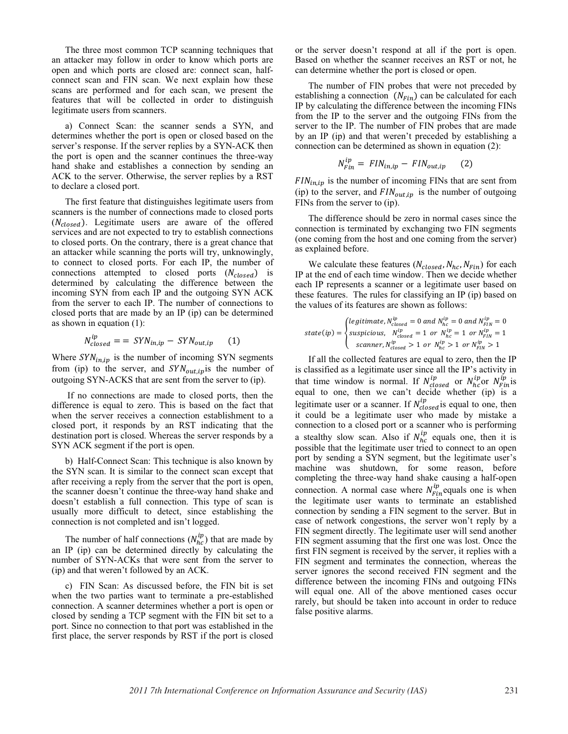The three most common TCP scanning techniques that an attacker may follow in order to know which ports are open and which ports are closed are: connect scan, halfconnect scan and FIN scan. We next explain how these scans are performed and for each scan, we present the features that will be collected in order to distinguish legitimate users from scanners.

a) Connect Scan: the scanner sends a SYN, and determines whether the port is open or closed based on the server's response. If the server replies by a SYN-ACK then the port is open and the scanner continues the three-way hand shake and establishes a connection by sending an ACK to the server. Otherwise, the server replies by a RST to declare a closed port.

The first feature that distinguishes legitimate users from scanners is the number of connections made to closed ports  $(N_{closed})$ . Legitimate users are aware of the offered services and are not expected to try to establish connections to closed ports. On the contrary, there is a great chance that an attacker while scanning the ports will try, unknowingly, to connect to closed ports. For each IP, the number of connections attempted to closed ports  $(N_{closed})$  is determined by calculating the difference between the incoming SYN from each IP and the outgoing SYN ACK from the server to each IP. The number of connections to closed ports that are made by an IP (ip) can be determined as shown in equation (1):

$$
N_{closed}^{ip} = = SYN_{in,ip} - SYN_{out,ip} \qquad (1)
$$

Where  $SYN_{in,ip}$  is the number of incoming SYN segments from (ip) to the server, and  $SYN_{out,ip}$  is the number of outgoing SYN-ACKS that are sent from the server to (ip).

 If no connections are made to closed ports, then the difference is equal to zero. This is based on the fact that when the server receives a connection establishment to a closed port, it responds by an RST indicating that the destination port is closed. Whereas the server responds by a SYN ACK segment if the port is open.

b) Half-Connect Scan: This technique is also known by the SYN scan. It is similar to the connect scan except that after receiving a reply from the server that the port is open, the scanner doesn't continue the three-way hand shake and doesn't establish a full connection. This type of scan is usually more difficult to detect, since establishing the connection is not completed and isn't logged.

The number of half connections  $(N_{hc}^{tp})$  that are made by an IP (ip) can be determined directly by calculating the number of SYN-ACKs that were sent from the server to (ip) and that weren't followed by an ACK.

c) FIN Scan: As discussed before, the FIN bit is set when the two parties want to terminate a pre-established connection. A scanner determines whether a port is open or closed by sending a TCP segment with the FIN bit set to a port. Since no connection to that port was established in the first place, the server responds by RST if the port is closed

or the server doesn't respond at all if the port is open. Based on whether the scanner receives an RST or not, he can determine whether the port is closed or open.

The number of FIN probes that were not preceded by establishing a connection  $(N_{Fin})$  can be calculated for each IP by calculating the difference between the incoming FINs from the IP to the server and the outgoing FINs from the server to the IP. The number of FIN probes that are made by an IP (ip) and that weren't preceded by establishing a connection can be determined as shown in equation (2):

$$
N_{Fin}^{ip} = FIN_{in,ip} - FIN_{out,ip} \qquad (2)
$$

 $FIN_{in,ip}$  is the number of incoming FINs that are sent from (ip) to the server, and  $FIN_{out,ip}$  is the number of outgoing FINs from the server to (ip).

The difference should be zero in normal cases since the connection is terminated by exchanging two FIN segments (one coming from the host and one coming from the server) as explained before.

We calculate these features ( $N_{closed}$ ,  $N_{hc}$ ,  $N_{Fin}$ ) for each IP at the end of each time window. Then we decide whether each IP represents a scanner or a legitimate user based on these features. The rules for classifying an IP (ip) based on the values of its features are shown as follows:

$$
state(ip) = \begin{cases} legitimate, N_{closed}^{ip} = 0 \text{ and } N_{hc}^{ip} = 0 \text{ and } N_{FIN}^{ip} = 0\\ swpicious, N_{closed}^{ip} = 1 \text{ or } N_{hc}^{ip} = 1 \text{ or } N_{FIN}^{ip} = 1\\ scanner, N_{closed}^{ip} > 1 \text{ or } N_{hc}^{ip} > 1 \text{ or } N_{FIN}^{ip} > 1 \end{cases}
$$

If all the collected features are equal to zero, then the IP is classified as a legitimate user since all the IP's activity in that time window is normal. If  $N_{closed}^{tp}$  or  $N_{hco}^{tp}$   $N_{Fin}^{tp}$  is equal to one, then we can't decide whether (ip) is a legitimate user or a scanner. If  $N_{closed}^{tp}$  is equal to one, then it could be a legitimate user who made by mistake a connection to a closed port or a scanner who is performing a stealthy slow scan. Also if  $N_{hc}^{tp}$  equals one, then it is possible that the legitimate user tried to connect to an open port by sending a SYN segment, but the legitimate user's machine was shutdown, for some reason, before completing the three-way hand shake causing a half-open connection. A normal case where  $N_{\text{Fin}}^{\text{up}}$  equals one is when the legitimate user wants to terminate an established connection by sending a FIN segment to the server. But in case of network congestions, the server won't reply by a FIN segment directly. The legitimate user will send another FIN segment assuming that the first one was lost. Once the first FIN segment is received by the server, it replies with a FIN segment and terminates the connection, whereas the server ignores the second received FIN segment and the difference between the incoming FINs and outgoing FINs will equal one. All of the above mentioned cases occur rarely, but should be taken into account in order to reduce false positive alarms.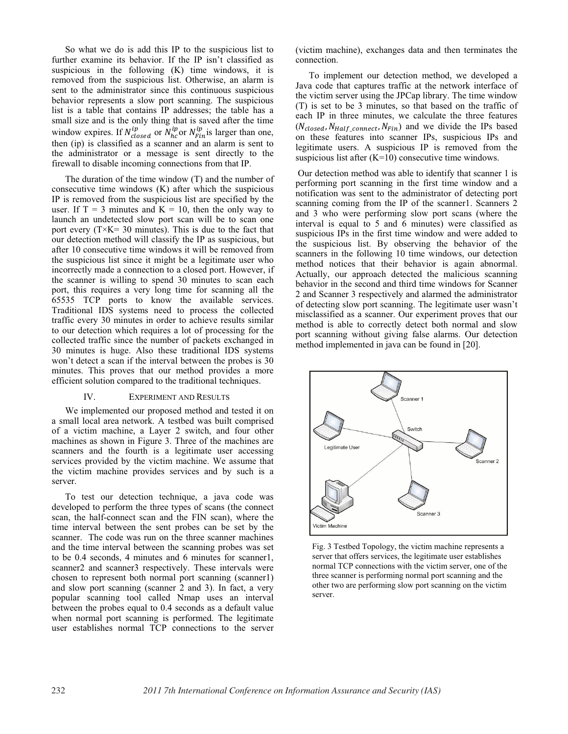So what we do is add this IP to the suspicious list to further examine its behavior. If the IP isn't classified as suspicious in the following (K) time windows, it is removed from the suspicious list. Otherwise, an alarm is sent to the administrator since this continuous suspicious behavior represents a slow port scanning. The suspicious list is a table that contains IP addresses; the table has a small size and is the only thing that is saved after the time window expires. If  $N_{closed}^{tp}$  or  $N_{hcb}^{tp}$  or  $N_{fin}^{tp}$  is larger than one, then (ip) is classified as a scanner and an alarm is sent to the administrator or a message is sent directly to the firewall to disable incoming connections from that IP.

The duration of the time window (T) and the number of consecutive time windows (K) after which the suspicious IP is removed from the suspicious list are specified by the user. If  $T = 3$  minutes and  $K = 10$ , then the only way to launch an undetected slow port scan will be to scan one port every  $(T \times K = 30 \text{ minutes})$ . This is due to the fact that our detection method will classify the IP as suspicious, but after 10 consecutive time windows it will be removed from the suspicious list since it might be a legitimate user who incorrectly made a connection to a closed port. However, if the scanner is willing to spend 30 minutes to scan each port, this requires a very long time for scanning all the 65535 TCP ports to know the available services. Traditional IDS systems need to process the collected traffic every 30 minutes in order to achieve results similar to our detection which requires a lot of processing for the collected traffic since the number of packets exchanged in 30 minutes is huge. Also these traditional IDS systems won't detect a scan if the interval between the probes is 30 minutes. This proves that our method provides a more efficient solution compared to the traditional techniques.

### IV. EXPERIMENT AND RESULTS

We implemented our proposed method and tested it on a small local area network. A testbed was built comprised of a victim machine, a Layer 2 switch, and four other machines as shown in Figure 3. Three of the machines are scanners and the fourth is a legitimate user accessing services provided by the victim machine. We assume that the victim machine provides services and by such is a server.

To test our detection technique, a java code was developed to perform the three types of scans (the connect scan, the half-connect scan and the FIN scan), where the time interval between the sent probes can be set by the scanner. The code was run on the three scanner machines and the time interval between the scanning probes was set to be 0.4 seconds, 4 minutes and 6 minutes for scanner1, scanner2 and scanner3 respectively. These intervals were chosen to represent both normal port scanning (scanner1) and slow port scanning (scanner 2 and 3). In fact, a very popular scanning tool called Nmap uses an interval between the probes equal to 0.4 seconds as a default value when normal port scanning is performed. The legitimate user establishes normal TCP connections to the server

(victim machine), exchanges data and then terminates the connection.

To implement our detection method, we developed a Java code that captures traffic at the network interface of the victim server using the JPCap library. The time window (T) is set to be 3 minutes, so that based on the traffic of each IP in three minutes, we calculate the three features  $(N_{closed}, N_{Half\_connect}, N_{Fin})$  and we divide the IPs based on these features into scanner IPs, suspicious IPs and legitimate users. A suspicious IP is removed from the suspicious list after  $(K=10)$  consecutive time windows.

 Our detection method was able to identify that scanner 1 is performing port scanning in the first time window and a notification was sent to the administrator of detecting port scanning coming from the IP of the scanner1. Scanners 2 and 3 who were performing slow port scans (where the interval is equal to 5 and 6 minutes) were classified as suspicious IPs in the first time window and were added to the suspicious list. By observing the behavior of the scanners in the following 10 time windows, our detection method notices that their behavior is again abnormal. Actually, our approach detected the malicious scanning behavior in the second and third time windows for Scanner 2 and Scanner 3 respectively and alarmed the administrator of detecting slow port scanning. The legitimate user wasn't misclassified as a scanner. Our experiment proves that our method is able to correctly detect both normal and slow port scanning without giving false alarms. Our detection method implemented in java can be found in [20].



Fig. 3 Testbed Topology, the victim machine represents a server that offers services, the legitimate user establishes normal TCP connections with the victim server, one of the three scanner is performing normal port scanning and the other two are performing slow port scanning on the victim server.